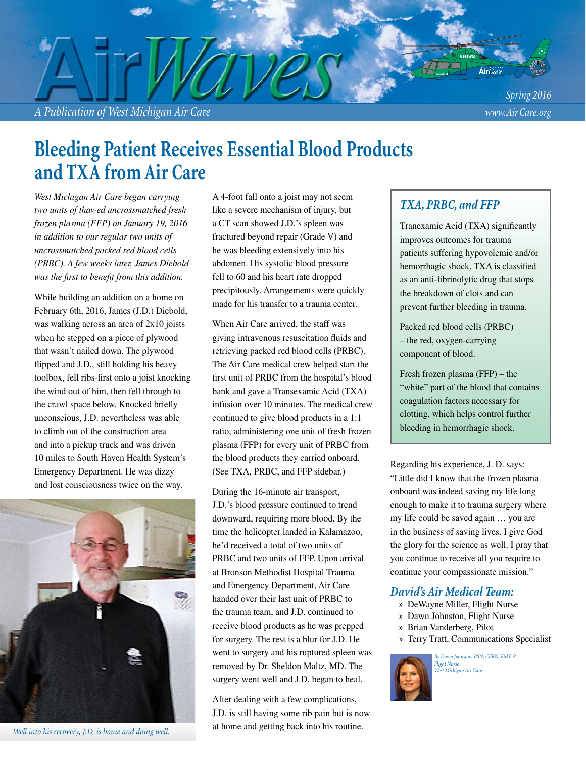

# **Bleeding Patient Receives Essential Blood Products and TXA from Air Care**

*West Michigan Air Care began carrying two units of thawed uncrossmatched fresh frozen plasma (FFP) on January 19, 2016 in addition to our regular two units of uncrossmatched packed red blood cells (PRBC). A few weeks later, James Diebold was the first to benefit from this addition.* 

While building an addition on a home on February 6th, 2016, James (J.D.) Diebold, was walking across an area of 2x10 joists when he stepped on a piece of plywood that wasn't nailed down. The plywood flipped and J.D., still holding his heavy toolbox, fell ribs-first onto a joist knocking the wind out of him, then fell through to the crawl space below. Knocked briefly unconscious, J.D. nevertheless was able to climb out of the construction area and into a pickup truck and was driven 10 miles to South Haven Health System's Emergency Department. He was dizzy and lost consciousness twice on the way.



*Well into his recovery, J.D. is home and doing well.* 

A 4-foot fall onto a joist may not seem like a severe mechanism of injury, but a CT scan showed J.D.'s spleen was fractured beyond repair (Grade V) and he was bleeding extensively into his abdomen. His systolic blood pressure fell to 60 and his heart rate dropped precipitously. Arrangements were quickly made for his transfer to a trauma center.

When Air Care arrived, the staff was giving intravenous resuscitation fluids and retrieving packed red blood cells (PRBC). The Air Care medical crew helped start the first unit of PRBC from the hospital's blood bank and gave a Transexamic Acid (TXA) infusion over 10 minutes. The medical crew continued to give blood products in a 1:1 ratio, administering one unit of fresh frozen plasma (FFP) for every unit of PRBC from the blood products they carried onboard. (See TXA, PRBC, and FFP sidebar.)

During the 16-minute air transport, J.D.'s blood pressure continued to trend downward, requiring more blood. By the time the helicopter landed in Kalamazoo, he'd received a total of two units of PRBC and two units of FFP. Upon arrival at Bronson Methodist Hospital Trauma and Emergency Department, Air Care handed over their last unit of PRBC to the trauma team, and J.D. continued to receive blood products as he was prepped for surgery. The rest is a blur for J.D. He went to surgery and his ruptured spleen was removed by Dr. Sheldon Maltz, MD. The surgery went well and J.D. began to heal.

After dealing with a few complications, J.D. is still having some rib pain but is now at home and getting back into his routine.

#### *TXA, PRBC, and FFP*

Tranexamic Acid (TXA) significantly improves outcomes for trauma patients suffering hypovolemic and/or hemorrhagic shock. TXA is classified as an anti-fibrinolytic drug that stops the breakdown of clots and can prevent further bleeding in trauma.

Packed red blood cells (PRBC) – the red, oxygen-carrying component of blood.

Fresh frozen plasma (FFP) – the "white" part of the blood that contains coagulation factors necessary for clotting, which helps control further bleeding in hemorrhagic shock.

Regarding his experience, J. D. says: "Little did I know that the frozen plasma onboard was indeed saving my life long enough to make it to trauma surgery where my life could be saved again … you are in the business of saving lives. I give God the glory for the science as well. I pray that you continue to receive all you require to continue your compassionate mission."

#### *David's Air Medical Team:*

- » DeWayne Miller, Flight Nurse
- » Dawn Johnston, Flight Nurse
- » Brian Vanderberg, Pilot
- » Terry Tratt, Communications Specialist



*By Dawn Johnston, BSN, CFRN, EMT-P Flight Nurse West Michigan Air Care*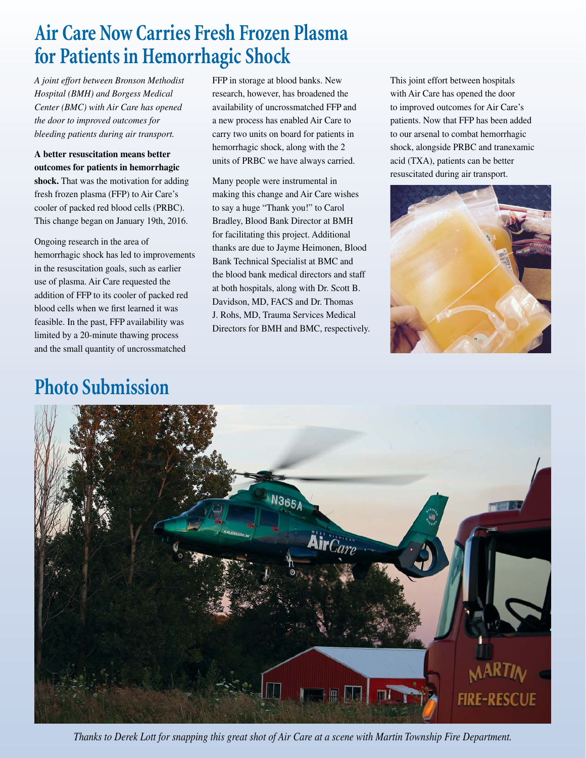# **Air Care Now Carries Fresh Frozen Plasma for Patients in Hemorrhagic Shock**

*A joint effort between Bronson Methodist Hospital (BMH) and Borgess Medical Center (BMC) with Air Care has opened the door to improved outcomes for bleeding patients during air transport.*

**A better resuscitation means better outcomes for patients in hemorrhagic shock.** That was the motivation for adding fresh frozen plasma (FFP) to Air Care's cooler of packed red blood cells (PRBC). This change began on January 19th, 2016.

Ongoing research in the area of hemorrhagic shock has led to improvements in the resuscitation goals, such as earlier use of plasma. Air Care requested the addition of FFP to its cooler of packed red blood cells when we first learned it was feasible. In the past, FFP availability was limited by a 20-minute thawing process and the small quantity of uncrossmatched

# **Photo Submission**

FFP in storage at blood banks. New research, however, has broadened the availability of uncrossmatched FFP and a new process has enabled Air Care to carry two units on board for patients in hemorrhagic shock, along with the 2 units of PRBC we have always carried.

Many people were instrumental in making this change and Air Care wishes to say a huge "Thank you!" to Carol Bradley, Blood Bank Director at BMH for facilitating this project. Additional thanks are due to Jayme Heimonen, Blood Bank Technical Specialist at BMC and the blood bank medical directors and staff at both hospitals, along with Dr. Scott B. Davidson, MD, FACS and Dr. Thomas J. Rohs, MD, Trauma Services Medical Directors for BMH and BMC, respectively. This joint effort between hospitals with Air Care has opened the door to improved outcomes for Air Care's patients. Now that FFP has been added to our arsenal to combat hemorrhagic shock, alongside PRBC and tranexamic acid (TXA), patients can be better resuscitated during air transport.





*Thanks to Derek Lott for snapping this great shot of Air Care at a scene with Martin Township Fire Department.*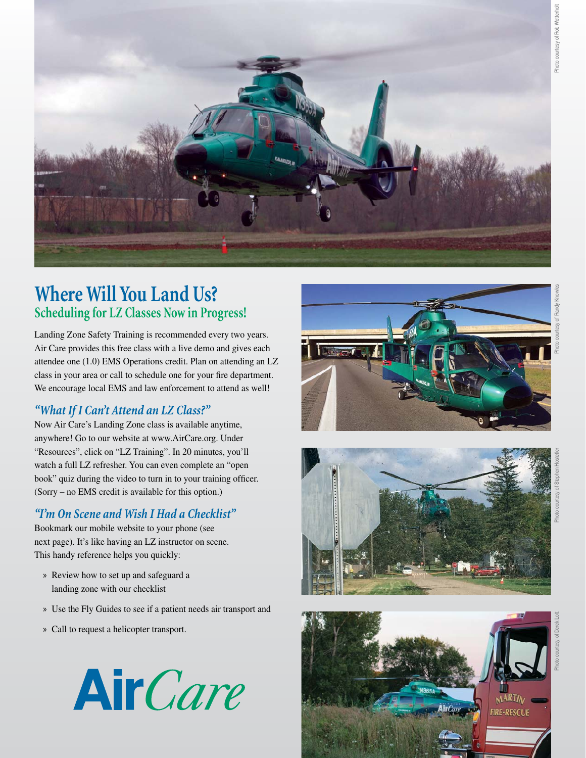

## **Where Will You Land Us? Scheduling for LZ Classes Now in Progress!**

Landing Zone Safety Training is recommended every two years. Air Care provides this free class with a live demo and gives each attendee one (1.0) EMS Operations credit. Plan on attending an LZ class in your area or call to schedule one for your fire department. We encourage local EMS and law enforcement to attend as well!

#### *"What If I Can't Attend an LZ Class?"*

Now Air Care's Landing Zone class is available anytime, anywhere! Go to our website at www.AirCare.org. Under "Resources", click on "LZ Training". In 20 minutes, you'll watch a full LZ refresher. You can even complete an "open book" quiz during the video to turn in to your training officer. (Sorry – no EMS credit is available for this option.)

#### *"I'm On Scene and Wish I Had a Checklist"*

Bookmark our mobile website to your phone (see next page). It's like having an LZ instructor on scene. This handy reference helps you quickly:

- » Review how to set up and safeguard a landing zone with our checklist
- » Use the Fly Guides to see if a patient needs air transport and
- » Call to request a helicopter transport.